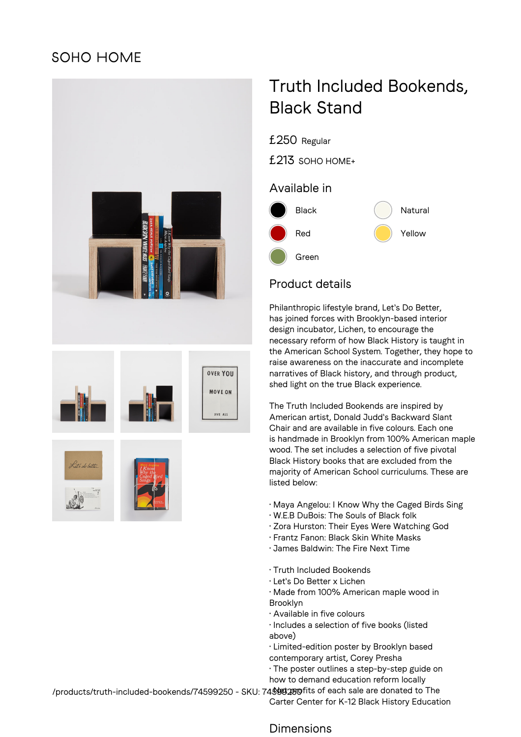# **SOHO HOME**



# Truth Included Bookends, Black Stand

£250 Regular

£213 SOHO HOME+

### Available in



## Product details

Philanthropic lifestyle brand, Let's Do Better, has joined forces with Brooklyn-based interior design incubator, Lichen, to encourage the necessary reform of how Black History is taught in the American School System. Together, they hope to raise awareness on the inaccurate and incomplete narratives of Black history, and through product, shed light on the true Black experience.

The Truth Included Bookends are inspired by American artist, Donald Judd's Backward Slant Chair and are available in five colours. Each one is handmade in Brooklyn from 100% American maple wood. The set includes a selection of five pivotal Black History books that are excluded from the majority of American School curriculums. These are listed below:

- Maya Angelou: I Know Why the Caged Birds Sing
- W.E.B DuBois: The Souls of Black folk
- Zora Hurston: Their Eyes Were Watching God
- Frantz Fanon: Black Skin White Masks
- James Baldwin: The Fire Next Time
- Truth Included Bookends
- Let's Do Better x Lichen
- Made from 100% American maple wood in Brooklyn
- Available in five colours
- Includes a selection of five books (listed above)
- Limited-edition poster by Brooklyn based contemporary artist, Corey Presha
- The poster outlines a step-by-step guide on how to demand education reform locally

/products/truth-included-bookends/74599250 - SKU: 74**\$99250**fits of each sale are donated to The Carter Center for K-12 Black History Education

#### Dimensions